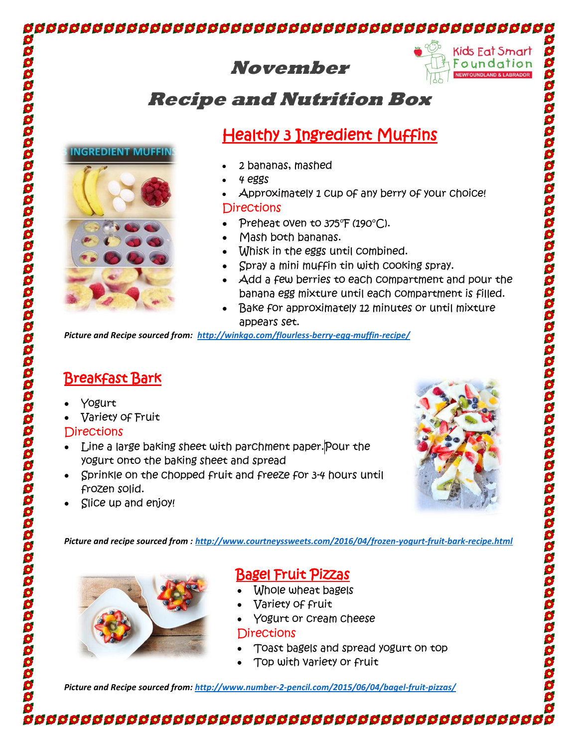## 





9 S

\$

S \$

## **Recipe and Nutrition Box**

# Healthy 3 Ingredient Muffins

- 2 bananas, mashed
- 4 eggs
- Approximately 1 cup of any berry of your choice! **Directions**
- Preheat oven to 375°F (190°C).
- Mash both bananas.
- Whisk in the eggs until combined.
- Spray a mini muffin tin with cooking spray.
- Add a few berries to each compartment and pour the banana egg mixture until each compartment is filled.
- Bake for approximately 12 minutes or until mixture appears set.

*Picture and Recipe sourced from: <http://winkgo.com/flourless-berry-egg-muffin-recipe/>*

## Breakfast Bark

**INGREDIENT MUFF** 

- Yogurt
- Variety of Fruit

### **Directions**

- Line a large baking sheet with parchment paper. Pour the yogurt onto the baking sheet and spread
- Sprinkle on the chopped fruit and freeze for 3-4 hours until frozen solid.
- Slice up and enjoy!



*Picture and recipe sourced from :<http://www.courtneyssweets.com/2016/04/frozen-yogurt-fruit-bark-recipe.html>*



## Bagel Fruit Pizzas

- Whole wheat bagels
- Variety of fruit
- Yogurt or cream cheese

### **Directions**

- Toast bagels and spread yogurt on top
- Top with variety or fruit

*Picture and Recipe sourced from[: http://www.number-2-pencil.com/2015/06/04/bagel-fruit-pizzas/](http://www.number-2-pencil.com/2015/06/04/bagel-fruit-pizzas/)*